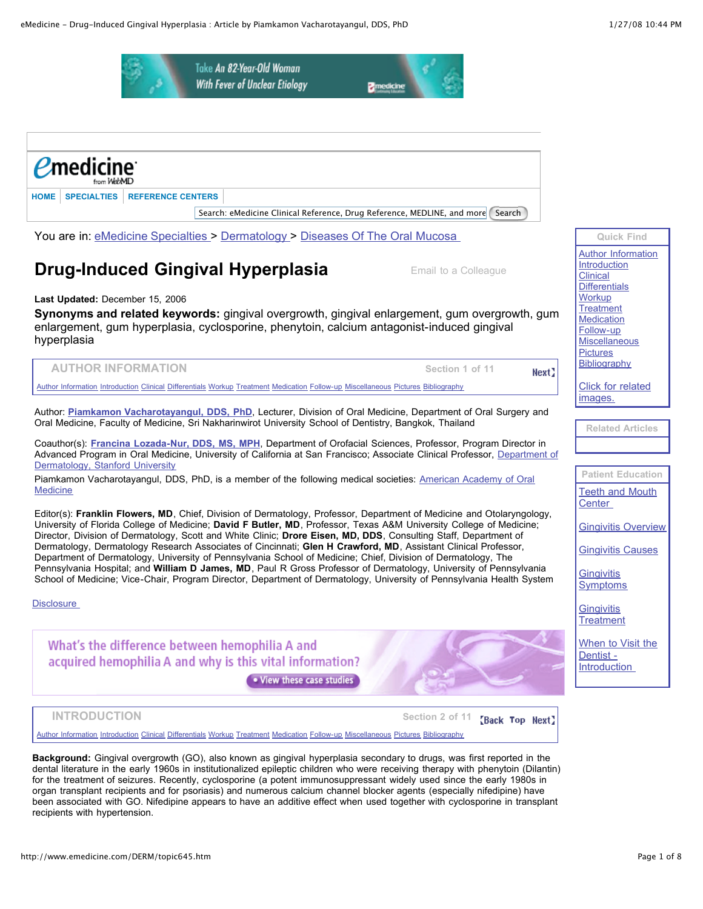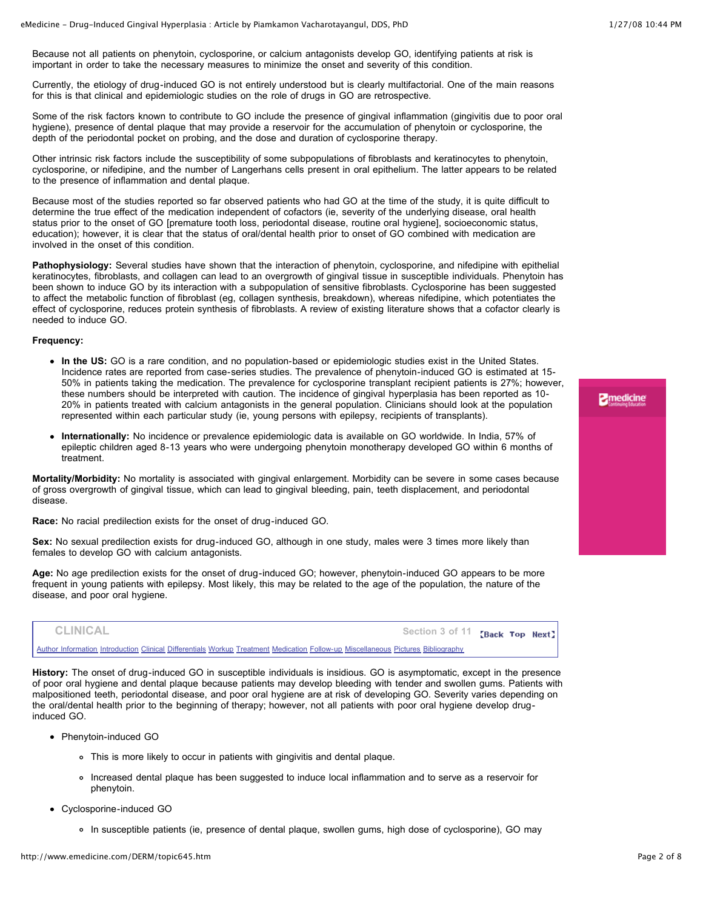**2** medicine

Because not all patients on phenytoin, cyclosporine, or calcium antagonists develop GO, identifying patients at risk is important in order to take the necessary measures to minimize the onset and severity of this condition.

Currently, the etiology of drug-induced GO is not entirely understood but is clearly multifactorial. One of the main reasons for this is that clinical and epidemiologic studies on the role of drugs in GO are retrospective.

Some of the risk factors known to contribute to GO include the presence of gingival inflammation (gingivitis due to poor oral hygiene), presence of dental plaque that may provide a reservoir for the accumulation of phenytoin or cyclosporine, the depth of the periodontal pocket on probing, and the dose and duration of cyclosporine therapy.

Other intrinsic risk factors include the susceptibility of some subpopulations of fibroblasts and keratinocytes to phenytoin, cyclosporine, or nifedipine, and the number of Langerhans cells present in oral epithelium. The latter appears to be related to the presence of inflammation and dental plaque.

Because most of the studies reported so far observed patients who had GO at the time of the study, it is quite difficult to determine the true effect of the medication independent of cofactors (ie, severity of the underlying disease, oral health status prior to the onset of GO [premature tooth loss, periodontal disease, routine oral hygiene], socioeconomic status, education); however, it is clear that the status of oral/dental health prior to onset of GO combined with medication are involved in the onset of this condition.

**Pathophysiology:** Several studies have shown that the interaction of phenytoin, cyclosporine, and nifedipine with epithelial keratinocytes, fibroblasts, and collagen can lead to an overgrowth of gingival tissue in susceptible individuals. Phenytoin has been shown to induce GO by its interaction with a subpopulation of sensitive fibroblasts. Cyclosporine has been suggested to affect the metabolic function of fibroblast (eg, collagen synthesis, breakdown), whereas nifedipine, which potentiates the effect of cyclosporine, reduces protein synthesis of fibroblasts. A review of existing literature shows that a cofactor clearly is needed to induce GO.

#### **Frequency:**

- **In the US:** GO is a rare condition, and no population-based or epidemiologic studies exist in the United States. Incidence rates are reported from case-series studies. The prevalence of phenytoin-induced GO is estimated at 15- 50% in patients taking the medication. The prevalence for cyclosporine transplant recipient patients is 27%; however, these numbers should be interpreted with caution. The incidence of gingival hyperplasia has been reported as 10- 20% in patients treated with calcium antagonists in the general population. Clinicians should look at the population represented within each particular study (ie, young persons with epilepsy, recipients of transplants).
- **Internationally:** No incidence or prevalence epidemiologic data is available on GO worldwide. In India, 57% of epileptic children aged 8-13 years who were undergoing phenytoin monotherapy developed GO within 6 months of treatment.

**Mortality/Morbidity:** No mortality is associated with gingival enlargement. Morbidity can be severe in some cases because of gross overgrowth of gingival tissue, which can lead to gingival bleeding, pain, teeth displacement, and periodontal disease.

**Race:** No racial predilection exists for the onset of drug-induced GO.

**Sex:** No sexual predilection exists for drug-induced GO, although in one study, males were 3 times more likely than females to develop GO with calcium antagonists.

**Age:** No age predilection exists for the onset of drug-induced GO; however, phenytoin-induced GO appears to be more frequent in young patients with epilepsy. Most likely, this may be related to the age of the population, the nature of the disease, and poor oral hygiene.

**CLINICAL Section 3 of 11 Eack Top Next** 

Author [Information](http://www.emedicine.com/DERM/topic645.htm#section~author_information) [Introduction](http://www.emedicine.com/DERM/topic645.htm#section~introduction) [Clinical](http://www.emedicine.com/DERM/topic645.htm#section~clinical) [Differentials](http://www.emedicine.com/DERM/topic645.htm#section~differentials) [Workup](http://www.emedicine.com/DERM/topic645.htm#section~workup) [Treatment](http://www.emedicine.com/DERM/topic645.htm#section~treatment) [Medication](http://www.emedicine.com/DERM/topic645.htm#section~medication) [Follow-up](http://www.emedicine.com/DERM/topic645.htm#section~follow-up) [Miscellaneous](http://www.emedicine.com/DERM/topic645.htm#section~miscellaneous) [Pictures](http://www.emedicine.com/DERM/topic645.htm#section~pictures) [Bibliography](http://www.emedicine.com/DERM/topic645.htm#section~bibliography)

**History:** The onset of drug-induced GO in susceptible individuals is insidious. GO is asymptomatic, except in the presence of poor oral hygiene and dental plaque because patients may develop bleeding with tender and swollen gums. Patients with malpositioned teeth, periodontal disease, and poor oral hygiene are at risk of developing GO. Severity varies depending on the oral/dental health prior to the beginning of therapy; however, not all patients with poor oral hygiene develop druginduced GO.

- Phenytoin-induced GO
	- This is more likely to occur in patients with gingivitis and dental plaque.
	- Increased dental plaque has been suggested to induce local inflammation and to serve as a reservoir for phenytoin.
- Cyclosporine-induced GO
	- In susceptible patients (ie, presence of dental plaque, swollen gums, high dose of cyclosporine), GO may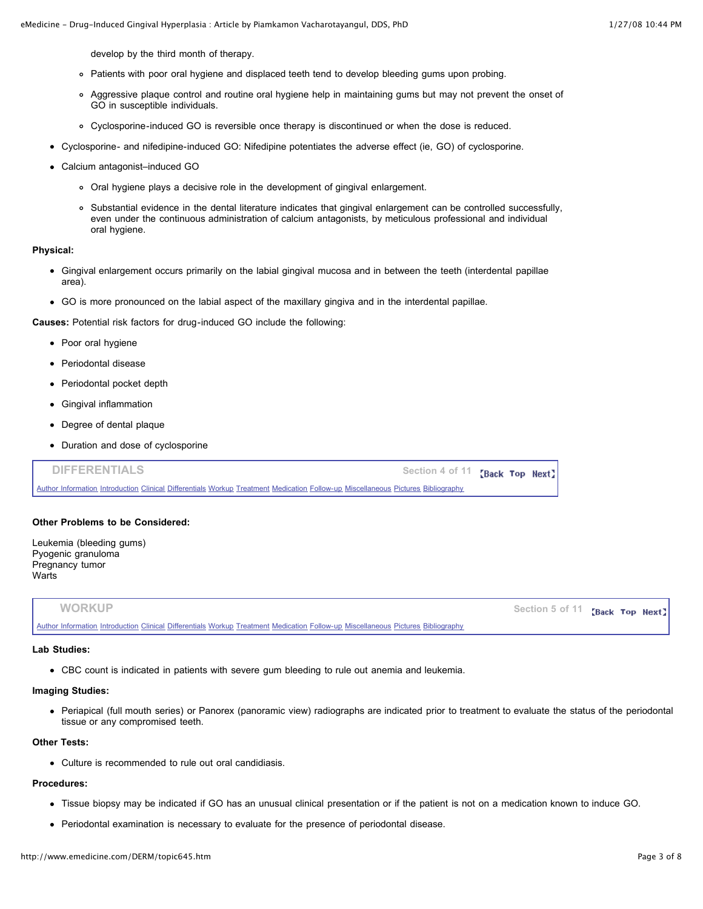develop by the third month of therapy.

- Patients with poor oral hygiene and displaced teeth tend to develop bleeding gums upon probing.
- Aggressive plaque control and routine oral hygiene help in maintaining gums but may not prevent the onset of GO in susceptible individuals.
- Cyclosporine-induced GO is reversible once therapy is discontinued or when the dose is reduced.
- Cyclosporine- and nifedipine-induced GO: Nifedipine potentiates the adverse effect (ie, GO) of cyclosporine.
- Calcium antagonist–induced GO
	- Oral hygiene plays a decisive role in the development of gingival enlargement.
	- Substantial evidence in the dental literature indicates that gingival enlargement can be controlled successfully, even under the continuous administration of calcium antagonists, by meticulous professional and individual oral hygiene.

## **Physical:**

- Gingival enlargement occurs primarily on the labial gingival mucosa and in between the teeth (interdental papillae area).
- GO is more pronounced on the labial aspect of the maxillary gingiva and in the interdental papillae.

**Causes:** Potential risk factors for drug-induced GO include the following:

- Poor oral hygiene
- Periodontal disease
- Periodontal pocket depth
- Gingival inflammation
- Degree of dental plaque
- Duration and dose of cyclosporine

| <b>DIFFERENTIALS</b><br>Section 4 of 11 <b>Back Top Next</b>                                                                     |  |  |
|----------------------------------------------------------------------------------------------------------------------------------|--|--|
| Author Information Introduction Clinical Differentials Workup Treatment Medication Follow-up Miscellaneous Pictures Bibliography |  |  |

## **Other Problems to be Considered:**

Leukemia (bleeding gums) Pyogenic granuloma Pregnancy tumor **Warts** 

| <b>WORKUP</b>                                                                                                                    | Section 5 of 11 <b>Back Top Next</b> |  |  |
|----------------------------------------------------------------------------------------------------------------------------------|--------------------------------------|--|--|
| Author Information Introduction Clinical Differentials Workup Treatment Medication Follow-up Miscellaneous Pictures Bibliography |                                      |  |  |

#### **Lab Studies:**

CBC count is indicated in patients with severe gum bleeding to rule out anemia and leukemia.

## **Imaging Studies:**

Periapical (full mouth series) or Panorex (panoramic view) radiographs are indicated prior to treatment to evaluate the status of the periodontal tissue or any compromised teeth.

## **Other Tests:**

Culture is recommended to rule out oral candidiasis.

# **Procedures:**

- Tissue biopsy may be indicated if GO has an unusual clinical presentation or if the patient is not on a medication known to induce GO.
- Periodontal examination is necessary to evaluate for the presence of periodontal disease.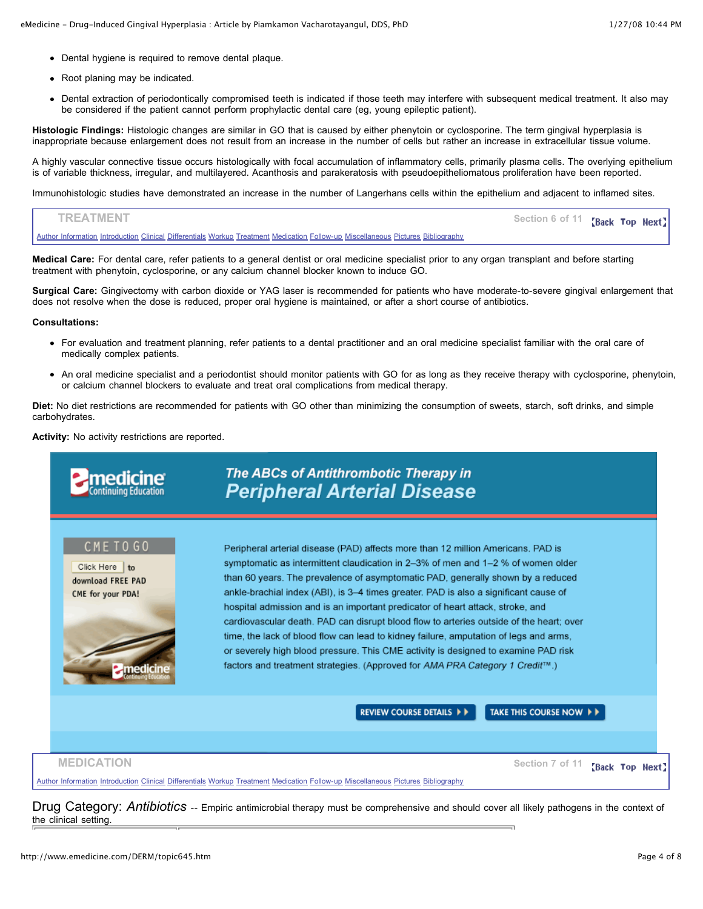- Dental hygiene is required to remove dental plaque.
- Root planing may be indicated.
- Dental extraction of periodontically compromised teeth is indicated if those teeth may interfere with subsequent medical treatment. It also may be considered if the patient cannot perform prophylactic dental care (eg, young epileptic patient).

**Histologic Findings:** Histologic changes are similar in GO that is caused by either phenytoin or cyclosporine. The term gingival hyperplasia is inappropriate because enlargement does not result from an increase in the number of cells but rather an increase in extracellular tissue volume.

A highly vascular connective tissue occurs histologically with focal accumulation of inflammatory cells, primarily plasma cells. The overlying epithelium is of variable thickness, irregular, and multilayered. Acanthosis and parakeratosis with pseudoepitheliomatous proliferation have been reported.

Immunohistologic studies have demonstrated an increase in the number of Langerhans cells within the epithelium and adjacent to inflamed sites.



**Medical Care:** For dental care, refer patients to a general dentist or oral medicine specialist prior to any organ transplant and before starting treatment with phenytoin, cyclosporine, or any calcium channel blocker known to induce GO.

**Surgical Care:** Gingivectomy with carbon dioxide or YAG laser is recommended for patients who have moderate-to-severe gingival enlargement that does not resolve when the dose is reduced, proper oral hygiene is maintained, or after a short course of antibiotics.

**Consultations:**

- For evaluation and treatment planning, refer patients to a dental practitioner and an oral medicine specialist familiar with the oral care of medically complex patients.
- An oral medicine specialist and a periodontist should monitor patients with GO for as long as they receive therapy with cyclosporine, phenytoin, or calcium channel blockers to evaluate and treat oral complications from medical therapy.

**Diet:** No diet restrictions are recommended for patients with GO other than minimizing the consumption of sweets, starch, soft drinks, and simple carbohydrates.

**Activity:** No activity restrictions are reported.

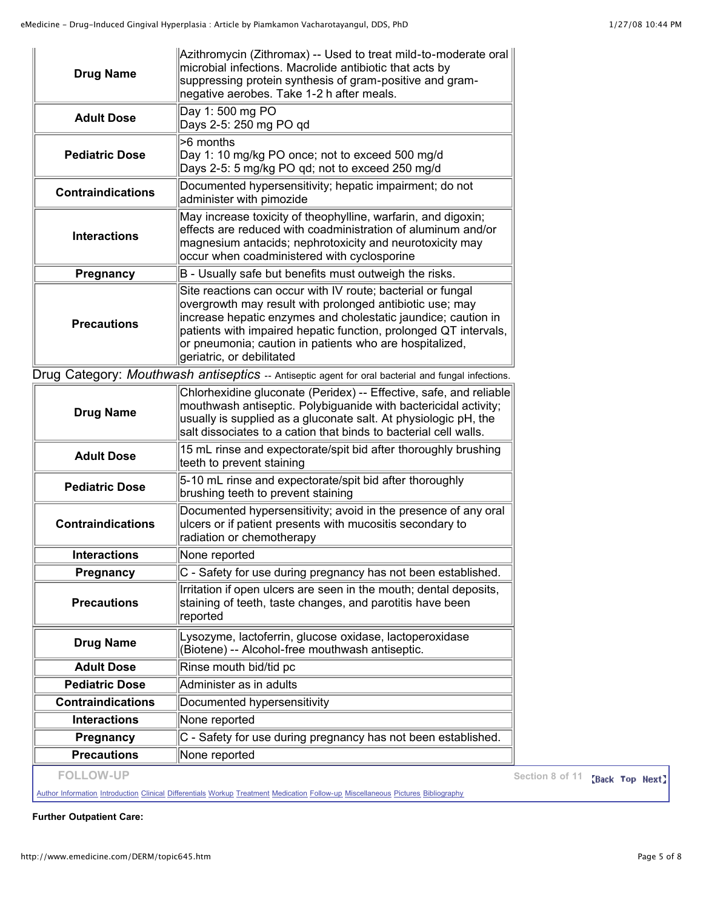| <b>Drug Name</b>         | Azithromycin (Zithromax) -- Used to treat mild-to-moderate oral<br>microbial infections. Macrolide antibiotic that acts by<br>suppressing protein synthesis of gram-positive and gram-<br>negative aerobes. Take 1-2 h after meals.                                                                                                                  |
|--------------------------|------------------------------------------------------------------------------------------------------------------------------------------------------------------------------------------------------------------------------------------------------------------------------------------------------------------------------------------------------|
| <b>Adult Dose</b>        | Day 1:500 mg PO<br>Days 2-5: 250 mg PO qd                                                                                                                                                                                                                                                                                                            |
| <b>Pediatric Dose</b>    | >6 months<br>Day 1: 10 mg/kg PO once; not to exceed 500 mg/d<br>Days 2-5: 5 mg/kg PO qd; not to exceed 250 mg/d                                                                                                                                                                                                                                      |
| <b>Contraindications</b> | Documented hypersensitivity; hepatic impairment; do not<br>administer with pimozide                                                                                                                                                                                                                                                                  |
| <b>Interactions</b>      | May increase toxicity of theophylline, warfarin, and digoxin;<br>effects are reduced with coadministration of aluminum and/or<br>magnesium antacids; nephrotoxicity and neurotoxicity may<br>occur when coadministered with cyclosporine                                                                                                             |
| Pregnancy                | B - Usually safe but benefits must outweigh the risks.                                                                                                                                                                                                                                                                                               |
| <b>Precautions</b>       | Site reactions can occur with IV route; bacterial or fungal<br>overgrowth may result with prolonged antibiotic use; may<br>increase hepatic enzymes and cholestatic jaundice; caution in<br>patients with impaired hepatic function, prolonged QT intervals,<br>or pneumonia; caution in patients who are hospitalized,<br>geriatric, or debilitated |
|                          | Drug Category: Mouthwash antiseptics -- Antiseptic agent for oral bacterial and fungal infections.                                                                                                                                                                                                                                                   |
| <b>Drug Name</b>         | Chlorhexidine gluconate (Peridex) -- Effective, safe, and reliable<br>mouthwash antiseptic. Polybiguanide with bactericidal activity;<br>usually is supplied as a gluconate salt. At physiologic pH, the<br>salt dissociates to a cation that binds to bacterial cell walls.                                                                         |
| <b>Adult Dose</b>        | 15 mL rinse and expectorate/spit bid after thoroughly brushing<br>teeth to prevent staining                                                                                                                                                                                                                                                          |
| <b>Pediatric Dose</b>    | 5-10 mL rinse and expectorate/spit bid after thoroughly<br>brushing teeth to prevent staining                                                                                                                                                                                                                                                        |
| <b>Contraindications</b> | Documented hypersensitivity; avoid in the presence of any oral<br>ulcers or if patient presents with mucositis secondary to<br>radiation or chemotherapy                                                                                                                                                                                             |
| <b>Interactions</b>      | None reported                                                                                                                                                                                                                                                                                                                                        |
| Pregnancy                | C - Safety for use during pregnancy has not been established.                                                                                                                                                                                                                                                                                        |
| <b>Precautions</b>       | Irritation if open ulcers are seen in the mouth; dental deposits,<br>staining of teeth, taste changes, and parotitis have been<br>reported                                                                                                                                                                                                           |
| <b>Drug Name</b>         | Lysozyme, lactoferrin, glucose oxidase, lactoperoxidase<br>(Biotene) -- Alcohol-free mouthwash antiseptic.                                                                                                                                                                                                                                           |
| <b>Adult Dose</b>        | Rinse mouth bid/tid pc                                                                                                                                                                                                                                                                                                                               |
| <b>Pediatric Dose</b>    | Administer as in adults                                                                                                                                                                                                                                                                                                                              |
| <b>Contraindications</b> | Documented hypersensitivity                                                                                                                                                                                                                                                                                                                          |
| <b>Interactions</b>      | None reported                                                                                                                                                                                                                                                                                                                                        |
| Pregnancy                | C - Safety for use during pregnancy has not been established.                                                                                                                                                                                                                                                                                        |
|                          |                                                                                                                                                                                                                                                                                                                                                      |

**FOLLOW-UP Section 8 of 11 {Back Top Next}** 

Author [Information](http://www.emedicine.com/DERM/topic645.htm#section~author_information) [Introduction](http://www.emedicine.com/DERM/topic645.htm#section~introduction) [Clinical](http://www.emedicine.com/DERM/topic645.htm#section~clinical) [Differentials](http://www.emedicine.com/DERM/topic645.htm#section~differentials) [Workup](http://www.emedicine.com/DERM/topic645.htm#section~workup) [Treatment](http://www.emedicine.com/DERM/topic645.htm#section~treatment) [Medication](http://www.emedicine.com/DERM/topic645.htm#section~medication) [Follow-up](http://www.emedicine.com/DERM/topic645.htm#section~follow-up) [Miscellaneous](http://www.emedicine.com/DERM/topic645.htm#section~miscellaneous) [Pictures](http://www.emedicine.com/DERM/topic645.htm#section~pictures) [Bibliography](http://www.emedicine.com/DERM/topic645.htm#section~bibliography)

**Further Outpatient Care:**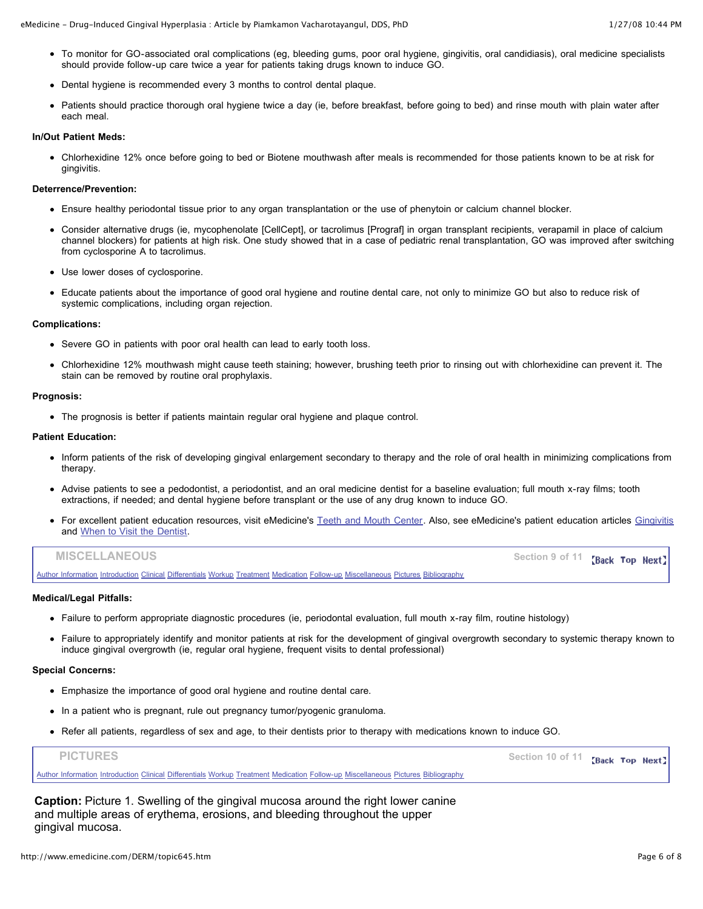- To monitor for GO-associated oral complications (eg, bleeding gums, poor oral hygiene, gingivitis, oral candidiasis), oral medicine specialists should provide follow-up care twice a year for patients taking drugs known to induce GO.
- Dental hygiene is recommended every 3 months to control dental plaque.
- Patients should practice thorough oral hygiene twice a day (ie, before breakfast, before going to bed) and rinse mouth with plain water after each meal.

## **In/Out Patient Meds:**

Chlorhexidine 12% once before going to bed or Biotene mouthwash after meals is recommended for those patients known to be at risk for gingivitis.

## **Deterrence/Prevention:**

- Ensure healthy periodontal tissue prior to any organ transplantation or the use of phenytoin or calcium channel blocker.
- Consider alternative drugs (ie, mycophenolate [CellCept], or tacrolimus [Prograf] in organ transplant recipients, verapamil in place of calcium channel blockers) for patients at high risk. One study showed that in a case of pediatric renal transplantation, GO was improved after switching from cyclosporine A to tacrolimus.
- Use lower doses of cyclosporine.
- Educate patients about the importance of good oral hygiene and routine dental care, not only to minimize GO but also to reduce risk of systemic complications, including organ rejection.

## **Complications:**

- Severe GO in patients with poor oral health can lead to early tooth loss.
- Chlorhexidine 12% mouthwash might cause teeth staining; however, brushing teeth prior to rinsing out with chlorhexidine can prevent it. The stain can be removed by routine oral prophylaxis.

#### **Prognosis:**

The prognosis is better if patients maintain regular oral hygiene and plaque control.

## **Patient Education:**

- Inform patients of the risk of developing gingival enlargement secondary to therapy and the role of oral health in minimizing complications from therapy.
- Advise patients to see a pedodontist, a periodontist, and an oral medicine dentist for a baseline evaluation; full mouth x-ray films; tooth extractions, if needed; and dental hygiene before transplant or the use of any drug known to induce GO.
- For excellent patient education resources, visit eMedicine's Teeth and Mouth [Center.](http://www.emedicinehealth.com/collections/CO1601.asp) Also, see eMedicine's patient education articles [Gingivitis](http://www.emedicinehealth.com/Articles/20577-1.asp) and When to Visit the [Dentist](http://www.emedicinehealth.com/Articles/12107-1.asp).

| <b>MISCELLANEOUS</b>                                                                                                             | Section 9 of 11 <b>Back Top Next</b> |
|----------------------------------------------------------------------------------------------------------------------------------|--------------------------------------|
| Author Information Introduction Clinical Differentials Workup Treatment Medication Follow-up Miscellaneous Pictures Bibliography |                                      |

#### **Medical/Legal Pitfalls:**

- Failure to perform appropriate diagnostic procedures (ie, periodontal evaluation, full mouth x-ray film, routine histology)
- Failure to appropriately identify and monitor patients at risk for the development of gingival overgrowth secondary to systemic therapy known to induce gingival overgrowth (ie, regular oral hygiene, frequent visits to dental professional)

## **Special Concerns:**

- Emphasize the importance of good oral hygiene and routine dental care.
- In a patient who is pregnant, rule out pregnancy tumor/pyogenic granuloma.
- Refer all patients, regardless of sex and age, to their dentists prior to therapy with medications known to induce GO.

| <b>PICTURES</b>                                                                                                                  | Section 10 of 11 <b>Back Top Next</b> |  |  |
|----------------------------------------------------------------------------------------------------------------------------------|---------------------------------------|--|--|
| Author Information Introduction Clinical Differentials Workup Treatment Medication Follow-up Miscellaneous Pictures Bibliography |                                       |  |  |

**Caption:** Picture 1. Swelling of the gingival mucosa around the right lower canine and multiple areas of erythema, erosions, and bleeding throughout the upper gingival mucosa.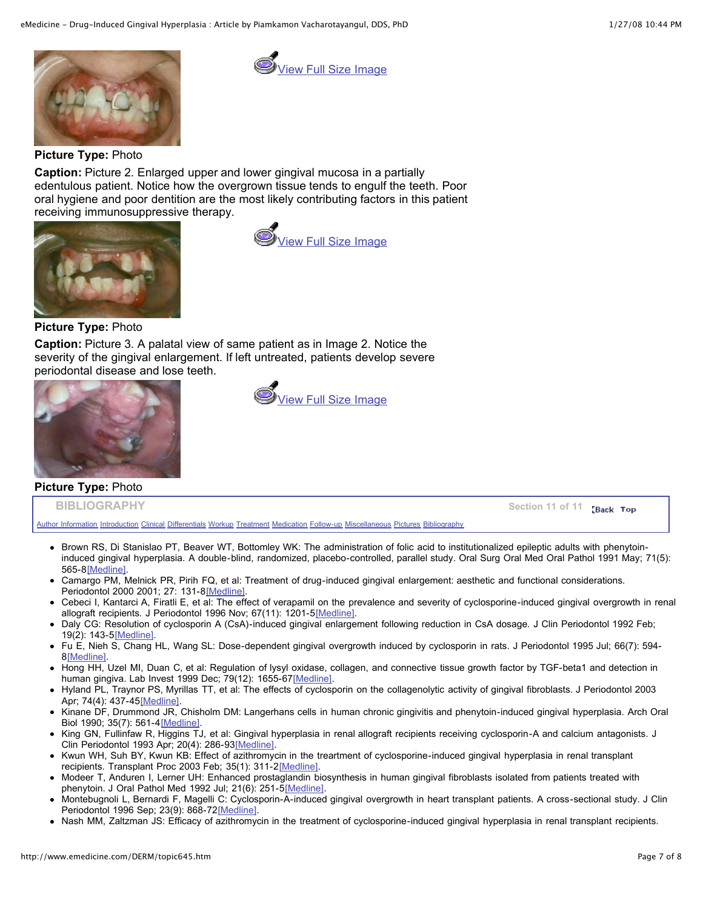

View Full Size [Image](http://www.emedicine.com/derm/images/Large/1506der00645-01.jpg)

**Picture Type:** Photo

**Caption:** Picture 2. Enlarged upper and lower gingival mucosa in a partially edentulous patient. Notice how the overgrown tissue tends to engulf the teeth. Poor oral hygiene and poor dentition are the most likely contributing factors in this patient receiving immunosuppressive therapy.





**Picture Type:** Photo

**Caption:** Picture 3. A palatal view of same patient as in Image 2. Notice the severity of the gingival enlargement. If left untreated, patients develop severe periodontal disease and lose teeth.



**Picture Type:** Photo

View Full Size [Image](http://www.emedicine.com/derm/images/Large/1680der00645-02b.jpg)

**BIBLIOGRAPHY** Section 11 of 11 Back Top

Author [Information](http://www.emedicine.com/DERM/topic645.htm#section~author_information) [Introduction](http://www.emedicine.com/DERM/topic645.htm#section~introduction) [Clinical](http://www.emedicine.com/DERM/topic645.htm#section~clinical) [Differentials](http://www.emedicine.com/DERM/topic645.htm#section~differentials) [Workup](http://www.emedicine.com/DERM/topic645.htm#section~workup) [Treatment](http://www.emedicine.com/DERM/topic645.htm#section~treatment) [Medication](http://www.emedicine.com/DERM/topic645.htm#section~medication) [Follow-up](http://www.emedicine.com/DERM/topic645.htm#section~follow-up) [Miscellaneous](http://www.emedicine.com/DERM/topic645.htm#section~miscellaneous) [Pictures](http://www.emedicine.com/DERM/topic645.htm#section~pictures) [Bibliography](http://www.emedicine.com/DERM/topic645.htm#section~bibliography)

- Brown RS, Di Stanislao PT, Beaver WT, Bottomley WK: The administration of folic acid to institutionalized epileptic adults with phenytoininduced gingival hyperplasia. A double-blind, randomized, placebo-controlled, parallel study. Oral Surg Oral Med Oral Pathol 1991 May; 71(5): 565-8[\[Medline\].](http://www.medscape.com/medline/abstract/1828561?src=emed_ckb_ref_0)
- Camargo PM, Melnick PR, Pirih FQ, et al: Treatment of drug-induced gingival enlargement: aesthetic and functional considerations. Periodontol 2000 2001; 27: 131-8[\[Medline\]](http://www.medscape.com/medline/abstract/11551304?src=emed_ckb_ref_0).
- Cebeci I, Kantarci A, Firatli E, et al: The effect of verapamil on the prevalence and severity of cyclosporine-induced gingival overgrowth in renal allograft recipients. J Periodontol 1996 Nov; 67(11): 1201-5[\[Medline\].](http://www.medscape.com/medline/abstract/8959570?src=emed_ckb_ref_0)
- Daly CG: Resolution of cyclosporin A (CsA)-induced gingival enlargement following reduction in CsA dosage. J Clin Periodontol 1992 Feb; 19(2): 143-5[\[Medline\].](http://www.medscape.com/medline/abstract/1602038?src=emed_ckb_ref_0)
- Fu E, Nieh S, Chang HL, Wang SL: Dose-dependent gingival overgrowth induced by cyclosporin in rats. J Periodontol 1995 Jul; 66(7): 594- 8[\[Medline\]](http://www.medscape.com/medline/abstract/7562351?src=emed_ckb_ref_0).
- Hong HH, Uzel MI, Duan C, et al: Regulation of lysyl oxidase, collagen, and connective tissue growth factor by TGF-beta1 and detection in human gingiva. Lab Invest 1999 Dec; 79(12): 1655-6[7\[Medline\]](http://www.medscape.com/medline/abstract/10616214?src=emed_ckb_ref_0).
- Hyland PL, Traynor PS, Myrillas TT, et al: The effects of cyclosporin on the collagenolytic activity of gingival fibroblasts. J Periodontol 2003 Apr; 74(4): 437-4[5\[Medline\]](http://www.medscape.com/medline/abstract/12747447?src=emed_ckb_ref_0).
- Kinane DF, Drummond JR, Chisholm DM: Langerhans cells in human chronic gingivitis and phenytoin-induced gingival hyperplasia. Arch Oral Biol 1990; 35(7): 561-4[\[Medline\].](http://www.medscape.com/medline/abstract/2222259?src=emed_ckb_ref_0)
- King GN, Fullinfaw R, Higgins TJ, et al: Gingival hyperplasia in renal allograft recipients receiving cyclosporin-A and calcium antagonists. J Clin Periodontol 1993 Apr; 20(4): 286-93[\[Medline\].](http://www.medscape.com/medline/abstract/8473540?src=emed_ckb_ref_0)
- Kwun WH, Suh BY, Kwun KB: Effect of azithromycin in the treartment of cyclosporine-induced gingival hyperplasia in renal transplant recipients. Transplant Proc 2003 Feb; 35(1): 311-2[\[Medline\]](http://www.medscape.com/medline/abstract/12591416?src=emed_ckb_ref_0).
- Modeer T, Anduren I, Lerner UH: Enhanced prostaglandin biosynthesis in human gingival fibroblasts isolated from patients treated with phenytoin. J Oral Pathol Med 1992 Jul; 21(6): 251-5[\[Medline\]](http://www.medscape.com/medline/abstract/1501156?src=emed_ckb_ref_0).
- Montebugnoli L, Bernardi F, Magelli C: Cyclosporin-A-induced gingival overgrowth in heart transplant patients. A cross-sectional study. J Clin Periodontol 1996 Sep; 23(9): 868-72[\[Medline\].](http://www.medscape.com/medline/abstract/8891939?src=emed_ckb_ref_0)
- Nash MM, Zaltzman JS: Efficacy of azithromycin in the treatment of cyclosporine-induced gingival hyperplasia in renal transplant recipients.